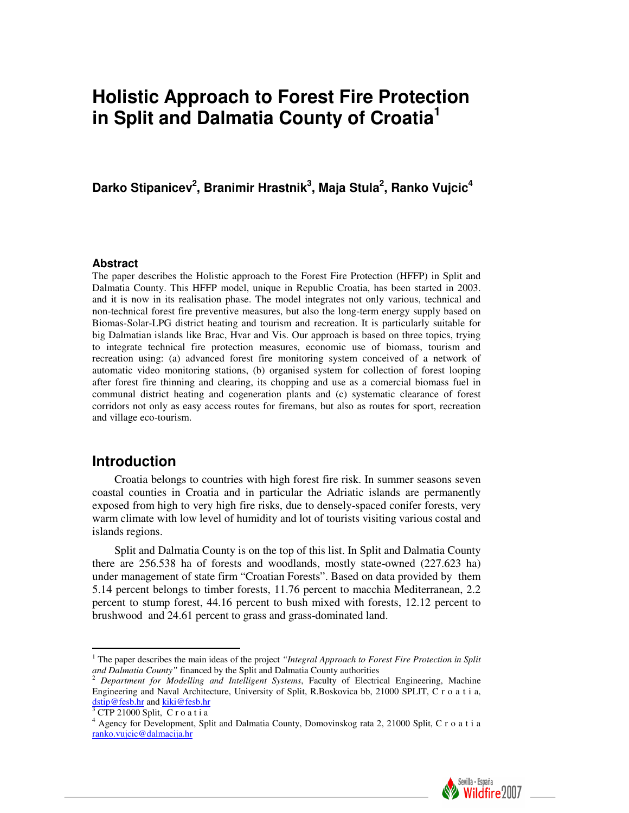# **Holistic Approach to Forest Fire Protection in Split and Dalmatia County of Croatia<sup>1</sup>**

Darko Stipanicev<sup>2</sup>, Branimir Hrastnik<sup>3</sup>, Maja Stula<sup>2</sup>, Ranko Vujcic<sup>4</sup>

#### **Abstract**

The paper describes the Holistic approach to the Forest Fire Protection (HFFP) in Split and Dalmatia County. This HFFP model, unique in Republic Croatia, has been started in 2003. and it is now in its realisation phase. The model integrates not only various, technical and non-technical forest fire preventive measures, but also the long-term energy supply based on Biomas-Solar-LPG district heating and tourism and recreation. It is particularly suitable for big Dalmatian islands like Brac, Hvar and Vis. Our approach is based on three topics, trying to integrate technical fire protection measures, economic use of biomass, tourism and recreation using: (a) advanced forest fire monitoring system conceived of a network of automatic video monitoring stations, (b) organised system for collection of forest looping after forest fire thinning and clearing, its chopping and use as a comercial biomass fuel in communal district heating and cogeneration plants and (c) systematic clearance of forest corridors not only as easy access routes for firemans, but also as routes for sport, recreation and village eco-tourism.

### **Introduction**

Croatia belongs to countries with high forest fire risk. In summer seasons seven coastal counties in Croatia and in particular the Adriatic islands are permanently exposed from high to very high fire risks, due to densely-spaced conifer forests, very warm climate with low level of humidity and lot of tourists visiting various costal and islands regions.

Split and Dalmatia County is on the top of this list. In Split and Dalmatia County there are 256.538 ha of forests and woodlands, mostly state-owned (227.623 ha) under management of state firm "Croatian Forests". Based on data provided by them 5.14 percent belongs to timber forests, 11.76 percent to macchia Mediterranean, 2.2 percent to stump forest, 44.16 percent to bush mixed with forests, 12.12 percent to brushwood and 24.61 percent to grass and grass-dominated land.

 $\overline{a}$ 

<sup>4</sup> Agency for Development, Split and Dalmatia County, Domovinskog rata 2, 21000 Split, C r o a t i a ranko.vujcic@dalmacija.hr



<sup>&</sup>lt;sup>1</sup> The paper describes the main ideas of the project "Integral Approach to Forest Fire Protection in Split *and Dalmatia County"* financed by the Split and Dalmatia County authorities

<sup>2</sup> *Department for Modelling and Intelligent Systems*, Faculty of Electrical Engineering, Machine Engineering and Naval Architecture, University of Split, R.Boskovica bb, 21000 SPLIT, C r o a t i a, dstip@fesb.hr and kiki@fesb.hr 3 CTP 21000 Split, C r o a t i a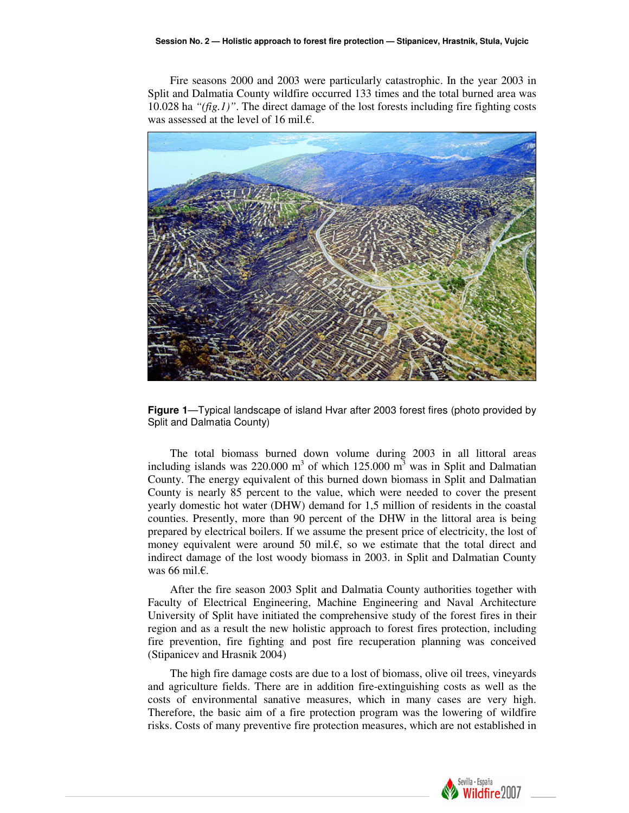Fire seasons 2000 and 2003 were particularly catastrophic. In the year 2003 in Split and Dalmatia County wildfire occurred 133 times and the total burned area was 10.028 ha *"(fig.1)"*. The direct damage of the lost forests including fire fighting costs was assessed at the level of 16 mil.€.



**Figure 1**—Typical landscape of island Hvar after 2003 forest fires (photo provided by Split and Dalmatia County)

The total biomass burned down volume during 2003 in all littoral areas including islands was 220.000 m<sup>3</sup> of which 125.000 m<sup>3</sup> was in Split and Dalmatian County. The energy equivalent of this burned down biomass in Split and Dalmatian County is nearly 85 percent to the value, which were needed to cover the present yearly domestic hot water (DHW) demand for 1,5 million of residents in the coastal counties. Presently, more than 90 percent of the DHW in the littoral area is being prepared by electrical boilers. If we assume the present price of electricity, the lost of money equivalent were around 50 mil. $\epsilon$ , so we estimate that the total direct and indirect damage of the lost woody biomass in 2003. in Split and Dalmatian County was 66 mil.€.

After the fire season 2003 Split and Dalmatia County authorities together with Faculty of Electrical Engineering, Machine Engineering and Naval Architecture University of Split have initiated the comprehensive study of the forest fires in their region and as a result the new holistic approach to forest fires protection, including fire prevention, fire fighting and post fire recuperation planning was conceived (Stipanicev and Hrasnik 2004)

The high fire damage costs are due to a lost of biomass, olive oil trees, vineyards and agriculture fields. There are in addition fire-extinguishing costs as well as the costs of environmental sanative measures, which in many cases are very high. Therefore, the basic aim of a fire protection program was the lowering of wildfire risks. Costs of many preventive fire protection measures, which are not established in

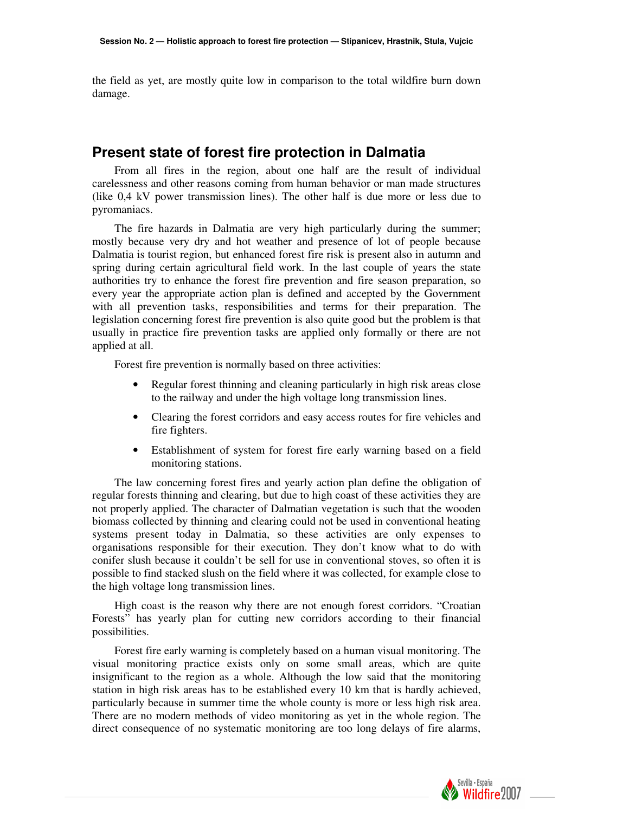the field as yet, are mostly quite low in comparison to the total wildfire burn down damage.

### **Present state of forest fire protection in Dalmatia**

From all fires in the region, about one half are the result of individual carelessness and other reasons coming from human behavior or man made structures (like 0,4 kV power transmission lines). The other half is due more or less due to pyromaniacs.

The fire hazards in Dalmatia are very high particularly during the summer; mostly because very dry and hot weather and presence of lot of people because Dalmatia is tourist region, but enhanced forest fire risk is present also in autumn and spring during certain agricultural field work. In the last couple of years the state authorities try to enhance the forest fire prevention and fire season preparation, so every year the appropriate action plan is defined and accepted by the Government with all prevention tasks, responsibilities and terms for their preparation. The legislation concerning forest fire prevention is also quite good but the problem is that usually in practice fire prevention tasks are applied only formally or there are not applied at all.

Forest fire prevention is normally based on three activities:

- Regular forest thinning and cleaning particularly in high risk areas close to the railway and under the high voltage long transmission lines.
- Clearing the forest corridors and easy access routes for fire vehicles and fire fighters.
- Establishment of system for forest fire early warning based on a field monitoring stations.

The law concerning forest fires and yearly action plan define the obligation of regular forests thinning and clearing, but due to high coast of these activities they are not properly applied. The character of Dalmatian vegetation is such that the wooden biomass collected by thinning and clearing could not be used in conventional heating systems present today in Dalmatia, so these activities are only expenses to organisations responsible for their execution. They don't know what to do with conifer slush because it couldn't be sell for use in conventional stoves, so often it is possible to find stacked slush on the field where it was collected, for example close to the high voltage long transmission lines.

High coast is the reason why there are not enough forest corridors. "Croatian Forests" has yearly plan for cutting new corridors according to their financial possibilities.

Forest fire early warning is completely based on a human visual monitoring. The visual monitoring practice exists only on some small areas, which are quite insignificant to the region as a whole. Although the low said that the monitoring station in high risk areas has to be established every 10 km that is hardly achieved, particularly because in summer time the whole county is more or less high risk area. There are no modern methods of video monitoring as yet in the whole region. The direct consequence of no systematic monitoring are too long delays of fire alarms,

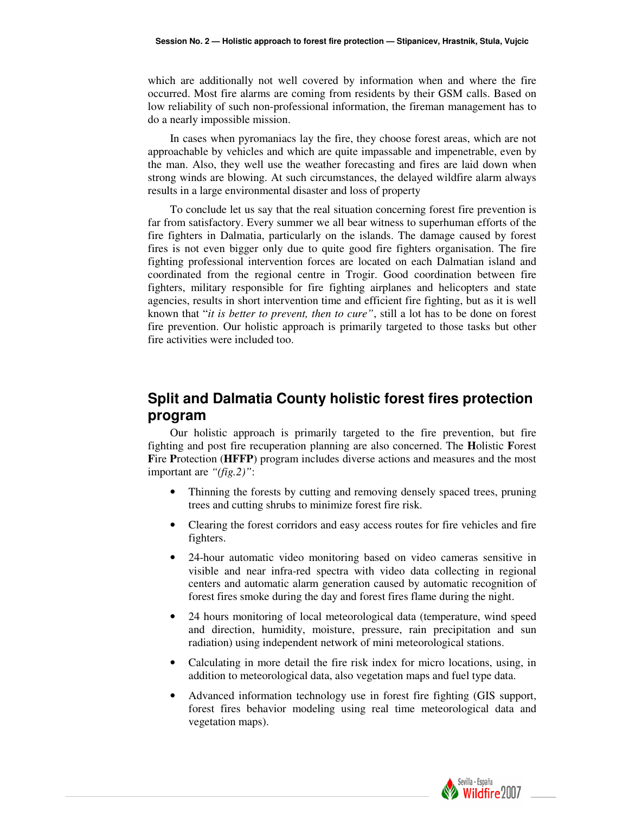which are additionally not well covered by information when and where the fire occurred. Most fire alarms are coming from residents by their GSM calls. Based on low reliability of such non-professional information, the fireman management has to do a nearly impossible mission.

In cases when pyromaniacs lay the fire, they choose forest areas, which are not approachable by vehicles and which are quite impassable and impenetrable, even by the man. Also, they well use the weather forecasting and fires are laid down when strong winds are blowing. At such circumstances, the delayed wildfire alarm always results in a large environmental disaster and loss of property

To conclude let us say that the real situation concerning forest fire prevention is far from satisfactory. Every summer we all bear witness to superhuman efforts of the fire fighters in Dalmatia, particularly on the islands. The damage caused by forest fires is not even bigger only due to quite good fire fighters organisation. The fire fighting professional intervention forces are located on each Dalmatian island and coordinated from the regional centre in Trogir. Good coordination between fire fighters, military responsible for fire fighting airplanes and helicopters and state agencies, results in short intervention time and efficient fire fighting, but as it is well known that "*it is better to prevent, then to cure"*, still a lot has to be done on forest fire prevention. Our holistic approach is primarily targeted to those tasks but other fire activities were included too.

# **Split and Dalmatia County holistic forest fires protection program**

Our holistic approach is primarily targeted to the fire prevention, but fire fighting and post fire recuperation planning are also concerned. The **H**olistic **F**orest **F**ire **P**rotection (**HFFP**) program includes diverse actions and measures and the most important are *"(fig.2)"*:

- Thinning the forests by cutting and removing densely spaced trees, pruning trees and cutting shrubs to minimize forest fire risk.
- Clearing the forest corridors and easy access routes for fire vehicles and fire fighters.
- 24-hour automatic video monitoring based on video cameras sensitive in visible and near infra-red spectra with video data collecting in regional centers and automatic alarm generation caused by automatic recognition of forest fires smoke during the day and forest fires flame during the night.
- 24 hours monitoring of local meteorological data (temperature, wind speed and direction, humidity, moisture, pressure, rain precipitation and sun radiation) using independent network of mini meteorological stations.
- Calculating in more detail the fire risk index for micro locations, using, in addition to meteorological data, also vegetation maps and fuel type data.
- Advanced information technology use in forest fire fighting (GIS support, forest fires behavior modeling using real time meteorological data and vegetation maps).

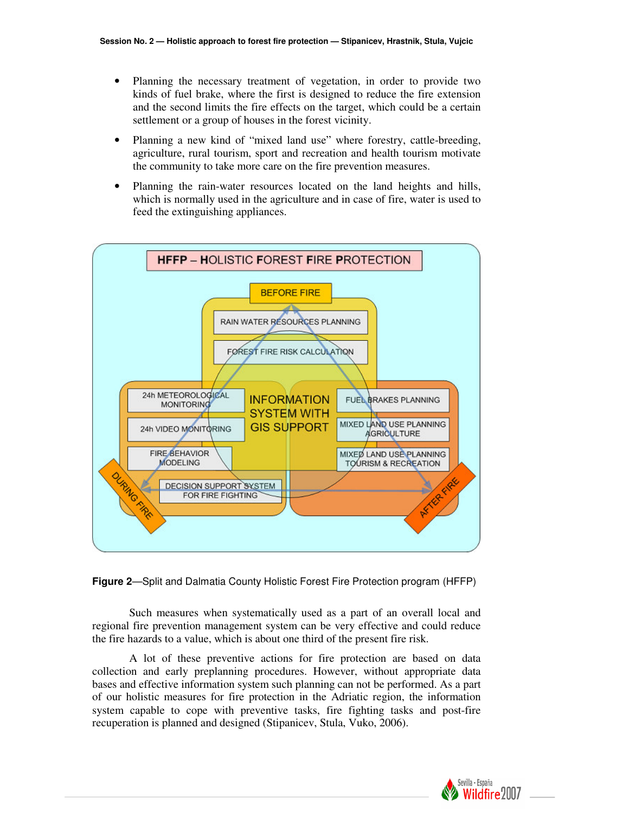- Planning the necessary treatment of vegetation, in order to provide two kinds of fuel brake, where the first is designed to reduce the fire extension and the second limits the fire effects on the target, which could be a certain settlement or a group of houses in the forest vicinity.
- Planning a new kind of "mixed land use" where forestry, cattle-breeding, agriculture, rural tourism, sport and recreation and health tourism motivate the community to take more care on the fire prevention measures.
- Planning the rain-water resources located on the land heights and hills, which is normally used in the agriculture and in case of fire, water is used to feed the extinguishing appliances.



**Figure 2**—Split and Dalmatia County Holistic Forest Fire Protection program (HFFP)

 Such measures when systematically used as a part of an overall local and regional fire prevention management system can be very effective and could reduce the fire hazards to a value, which is about one third of the present fire risk.

 A lot of these preventive actions for fire protection are based on data collection and early preplanning procedures. However, without appropriate data bases and effective information system such planning can not be performed. As a part of our holistic measures for fire protection in the Adriatic region, the information system capable to cope with preventive tasks, fire fighting tasks and post-fire recuperation is planned and designed (Stipanicev, Stula, Vuko, 2006).

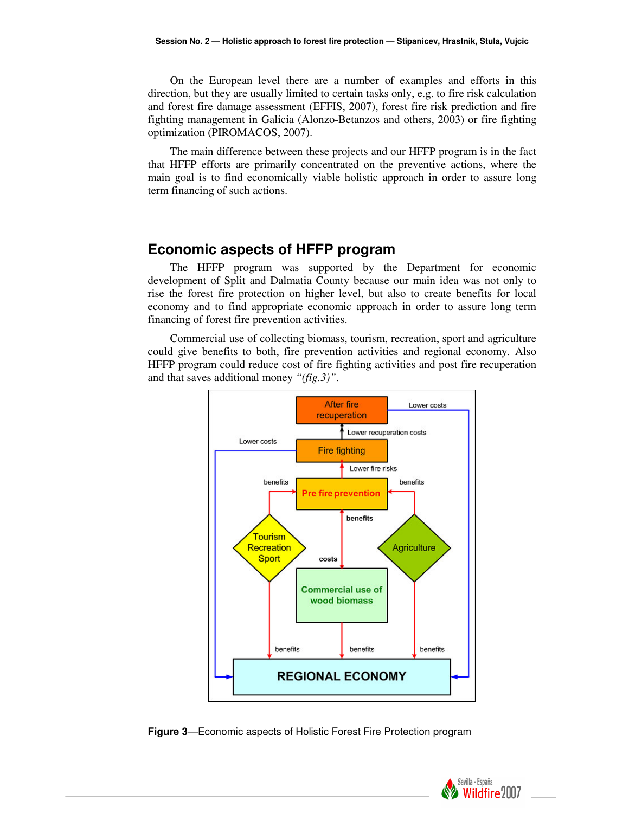On the European level there are a number of examples and efforts in this direction, but they are usually limited to certain tasks only, e.g. to fire risk calculation and forest fire damage assessment (EFFIS, 2007), forest fire risk prediction and fire fighting management in Galicia (Alonzo-Betanzos and others, 2003) or fire fighting optimization (PIROMACOS, 2007).

The main difference between these projects and our HFFP program is in the fact that HFFP efforts are primarily concentrated on the preventive actions, where the main goal is to find economically viable holistic approach in order to assure long term financing of such actions.

## **Economic aspects of HFFP program**

The HFFP program was supported by the Department for economic development of Split and Dalmatia County because our main idea was not only to rise the forest fire protection on higher level, but also to create benefits for local economy and to find appropriate economic approach in order to assure long term financing of forest fire prevention activities.

Commercial use of collecting biomass, tourism, recreation, sport and agriculture could give benefits to both, fire prevention activities and regional economy. Also HFFP program could reduce cost of fire fighting activities and post fire recuperation and that saves additional money *"(fig.3)"*.





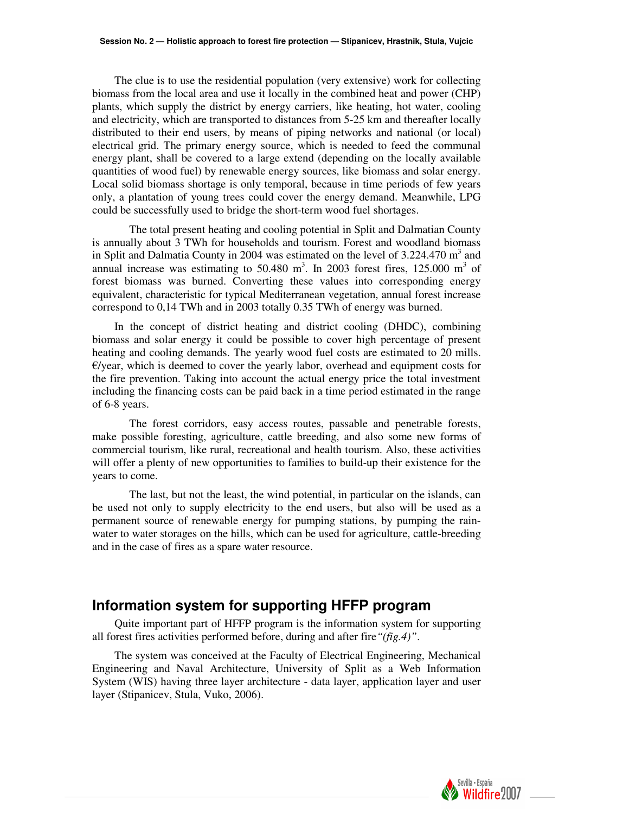The clue is to use the residential population (very extensive) work for collecting biomass from the local area and use it locally in the combined heat and power (CHP) plants, which supply the district by energy carriers, like heating, hot water, cooling and electricity, which are transported to distances from 5-25 km and thereafter locally distributed to their end users, by means of piping networks and national (or local) electrical grid. The primary energy source, which is needed to feed the communal energy plant, shall be covered to a large extend (depending on the locally available quantities of wood fuel) by renewable energy sources, like biomass and solar energy. Local solid biomass shortage is only temporal, because in time periods of few years only, a plantation of young trees could cover the energy demand. Meanwhile, LPG could be successfully used to bridge the short-term wood fuel shortages.

 The total present heating and cooling potential in Split and Dalmatian County is annually about 3 TWh for households and tourism. Forest and woodland biomass in Split and Dalmatia County in 2004 was estimated on the level of  $3.224.470 \text{ m}^3$  and annual increase was estimating to 50.480 m<sup>3</sup>. In 2003 forest fires, 125.000 m<sup>3</sup> of forest biomass was burned. Converting these values into corresponding energy equivalent, characteristic for typical Mediterranean vegetation, annual forest increase correspond to 0,14 TWh and in 2003 totally 0.35 TWh of energy was burned.

In the concept of district heating and district cooling (DHDC), combining biomass and solar energy it could be possible to cover high percentage of present heating and cooling demands. The yearly wood fuel costs are estimated to 20 mills.  $E$ /year, which is deemed to cover the yearly labor, overhead and equipment costs for the fire prevention. Taking into account the actual energy price the total investment including the financing costs can be paid back in a time period estimated in the range of 6-8 years.

 The forest corridors, easy access routes, passable and penetrable forests, make possible foresting, agriculture, cattle breeding, and also some new forms of commercial tourism, like rural, recreational and health tourism. Also, these activities will offer a plenty of new opportunities to families to build-up their existence for the years to come.

 The last, but not the least, the wind potential, in particular on the islands, can be used not only to supply electricity to the end users, but also will be used as a permanent source of renewable energy for pumping stations, by pumping the rainwater to water storages on the hills, which can be used for agriculture, cattle-breeding and in the case of fires as a spare water resource.

# **Information system for supporting HFFP program**

Quite important part of HFFP program is the information system for supporting all forest fires activities performed before, during and after fire*"(fig.4)"*.

The system was conceived at the Faculty of Electrical Engineering, Mechanical Engineering and Naval Architecture, University of Split as a Web Information System (WIS) having three layer architecture - data layer, application layer and user layer (Stipanicev, Stula, Vuko, 2006).

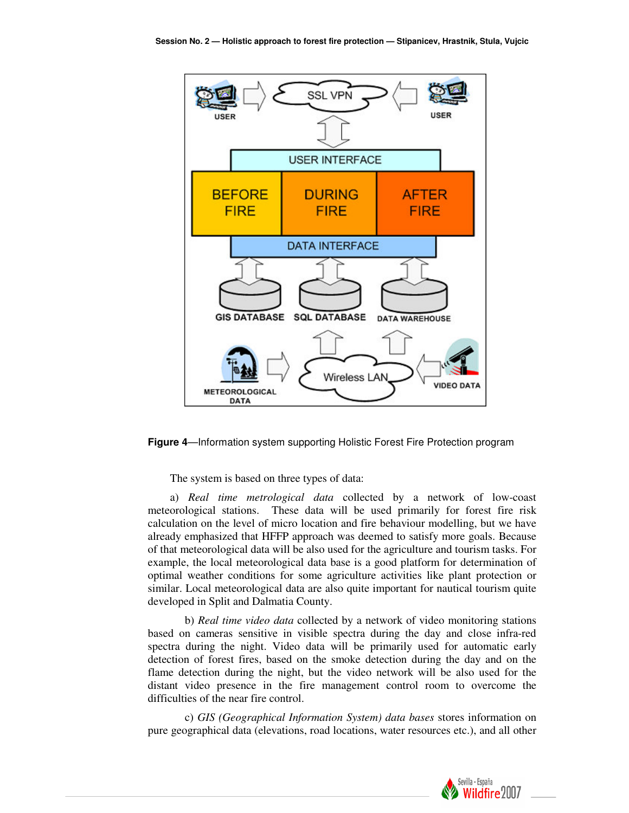

**Figure 4**—Information system supporting Holistic Forest Fire Protection program

The system is based on three types of data:

a) *Real time metrological data* collected by a network of low-coast meteorological stations. These data will be used primarily for forest fire risk calculation on the level of micro location and fire behaviour modelling, but we have already emphasized that HFFP approach was deemed to satisfy more goals. Because of that meteorological data will be also used for the agriculture and tourism tasks. For example, the local meteorological data base is a good platform for determination of optimal weather conditions for some agriculture activities like plant protection or similar. Local meteorological data are also quite important for nautical tourism quite developed in Split and Dalmatia County.

 b) *Real time video data* collected by a network of video monitoring stations based on cameras sensitive in visible spectra during the day and close infra-red spectra during the night. Video data will be primarily used for automatic early detection of forest fires, based on the smoke detection during the day and on the flame detection during the night, but the video network will be also used for the distant video presence in the fire management control room to overcome the difficulties of the near fire control.

 c) *GIS (Geographical Information System) data bases* stores information on pure geographical data (elevations, road locations, water resources etc.), and all other

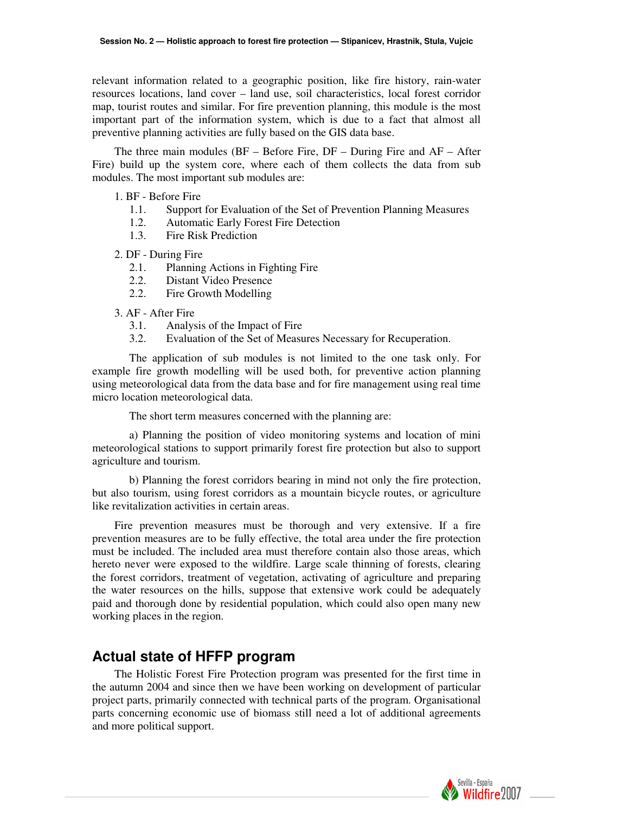relevant information related to a geographic position, like fire history, rain-water resources locations, land cover – land use, soil characteristics, local forest corridor map, tourist routes and similar. For fire prevention planning, this module is the most important part of the information system, which is due to a fact that almost all preventive planning activities are fully based on the GIS data base.

The three main modules (BF – Before Fire, DF – During Fire and AF – After Fire) build up the system core, where each of them collects the data from sub modules. The most important sub modules are:

#### 1. BF - Before Fire

- 1.1. Support for Evaluation of the Set of Prevention Planning Measures
- 1.2. Automatic Early Forest Fire Detection
- 1.3. Fire Risk Prediction

#### 2. DF - During Fire

- 2.1. Planning Actions in Fighting Fire
- 2.2. Distant Video Presence
- 2.2. Fire Growth Modelling

#### 3. AF - After Fire

- 3.1. Analysis of the Impact of Fire
- 3.2. Evaluation of the Set of Measures Necessary for Recuperation.

 The application of sub modules is not limited to the one task only. For example fire growth modelling will be used both, for preventive action planning using meteorological data from the data base and for fire management using real time micro location meteorological data.

The short term measures concerned with the planning are:

 a) Planning the position of video monitoring systems and location of mini meteorological stations to support primarily forest fire protection but also to support agriculture and tourism.

 b) Planning the forest corridors bearing in mind not only the fire protection, but also tourism, using forest corridors as a mountain bicycle routes, or agriculture like revitalization activities in certain areas.

Fire prevention measures must be thorough and very extensive. If a fire prevention measures are to be fully effective, the total area under the fire protection must be included. The included area must therefore contain also those areas, which hereto never were exposed to the wildfire. Large scale thinning of forests, clearing the forest corridors, treatment of vegetation, activating of agriculture and preparing the water resources on the hills, suppose that extensive work could be adequately paid and thorough done by residential population, which could also open many new working places in the region.

# **Actual state of HFFP program**

The Holistic Forest Fire Protection program was presented for the first time in the autumn 2004 and since then we have been working on development of particular project parts, primarily connected with technical parts of the program. Organisational parts concerning economic use of biomass still need a lot of additional agreements and more political support.

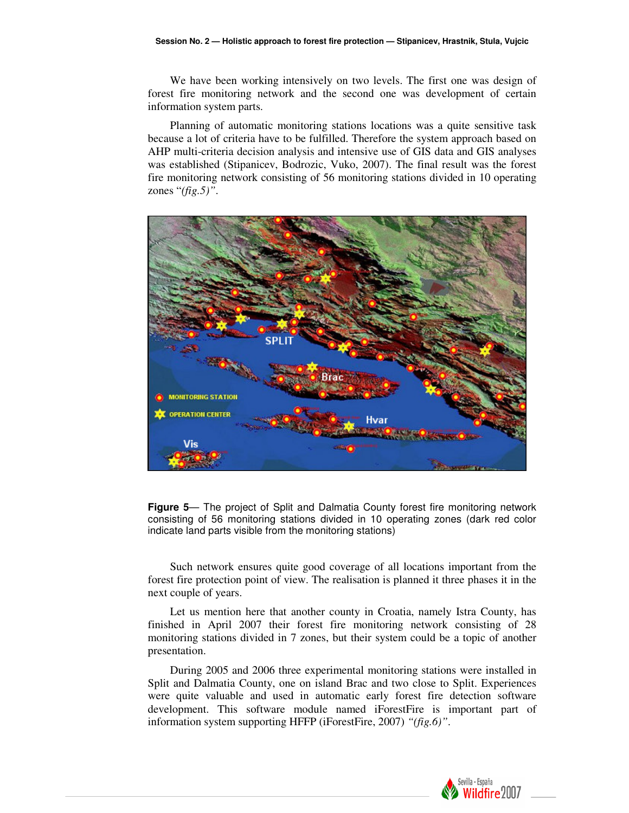We have been working intensively on two levels. The first one was design of forest fire monitoring network and the second one was development of certain information system parts.

Planning of automatic monitoring stations locations was a quite sensitive task because a lot of criteria have to be fulfilled. Therefore the system approach based on AHP multi-criteria decision analysis and intensive use of GIS data and GIS analyses was established (Stipanicev, Bodrozic, Vuko, 2007). The final result was the forest fire monitoring network consisting of 56 monitoring stations divided in 10 operating zones "*(fig.5)"*.





Such network ensures quite good coverage of all locations important from the forest fire protection point of view. The realisation is planned it three phases it in the next couple of years.

Let us mention here that another county in Croatia, namely Istra County, has finished in April 2007 their forest fire monitoring network consisting of 28 monitoring stations divided in 7 zones, but their system could be a topic of another presentation.

During 2005 and 2006 three experimental monitoring stations were installed in Split and Dalmatia County, one on island Brac and two close to Split. Experiences were quite valuable and used in automatic early forest fire detection software development. This software module named iForestFire is important part of information system supporting HFFP (iForestFire, 2007) *"(fig.6)"*.

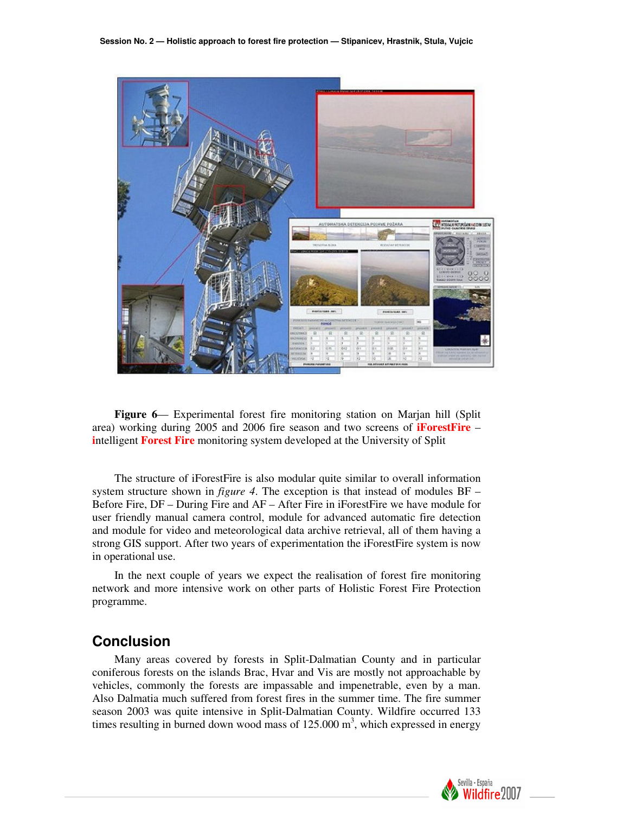

**Figure 6**— Experimental forest fire monitoring station on Marjan hill (Split area) working during 2005 and 2006 fire season and two screens of **iForestFire** – **i**ntelligent **Forest Fire** monitoring system developed at the University of Split

The structure of iForestFire is also modular quite similar to overall information system structure shown in *figure 4*. The exception is that instead of modules BF – Before Fire, DF – During Fire and AF – After Fire in iForestFire we have module for user friendly manual camera control, module for advanced automatic fire detection and module for video and meteorological data archive retrieval, all of them having a strong GIS support. After two years of experimentation the iForestFire system is now in operational use.

In the next couple of years we expect the realisation of forest fire monitoring network and more intensive work on other parts of Holistic Forest Fire Protection programme.

### **Conclusion**

Many areas covered by forests in Split-Dalmatian County and in particular coniferous forests on the islands Brac, Hvar and Vis are mostly not approachable by vehicles, commonly the forests are impassable and impenetrable, even by a man. Also Dalmatia much suffered from forest fires in the summer time. The fire summer season 2003 was quite intensive in Split-Dalmatian County. Wildfire occurred 133 times resulting in burned down wood mass of  $125.000 \text{ m}^3$ , which expressed in energy